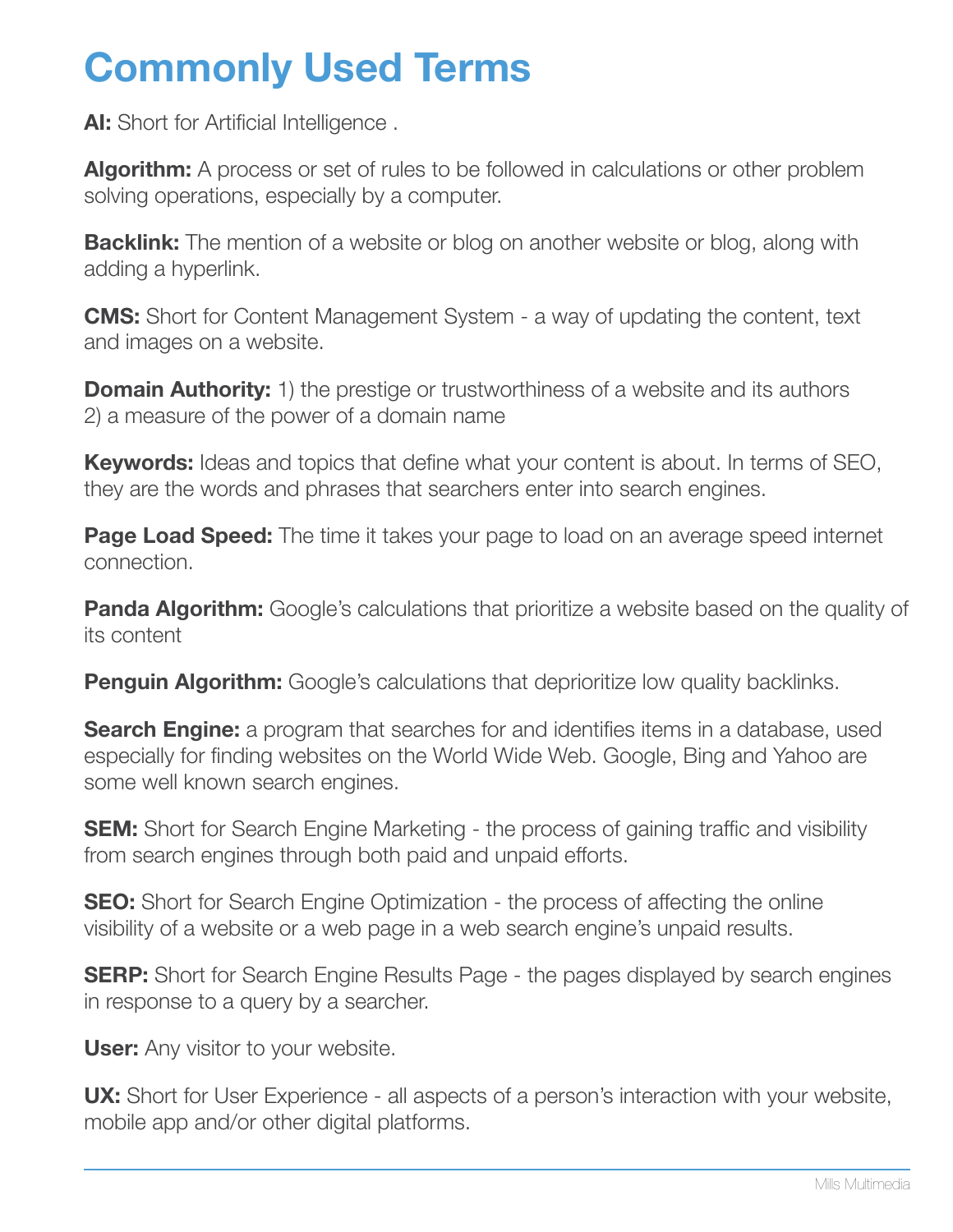### **Commonly Used Terms**

AI: Short for Artificial Intelligence.

Algorithm: A process or set of rules to be followed in calculations or other problem solving operations, especially by a computer.

**Backlink:** The mention of a website or blog on another website or blog, along with adding a hyperlink.

**CMS:** Short for Content Management System - a way of updating the content, text and images on a website.

**Domain Authority:** 1) the prestige or trustworthiness of a website and its authors 2) a measure of the power of a domain name

**Keywords:** Ideas and topics that define what your content is about. In terms of SEO, they are the words and phrases that searchers enter into search engines.

**Page Load Speed:** The time it takes your page to load on an average speed internet connection.

**Panda Algorithm:** Google's calculations that prioritize a website based on the quality of its content

**Penguin Algorithm:** Google's calculations that deprioritize low quality backlinks.

**Search Engine:** a program that searches for and identifies items in a database, used especially for finding websites on the World Wide Web. Google, Bing and Yahoo are some well known search engines.

**SEM:** Short for Search Engine Marketing - the process of gaining traffic and visibility from search engines through both paid and unpaid efforts.

**SEO:** Short for Search Engine Optimization - the process of affecting the online visibility of a website or a web page in a web search engine's unpaid results.

**SERP:** Short for Search Engine Results Page - the pages displayed by search engines in response to a query by a searcher.

**User:** Any visitor to your website.

**UX:** Short for User Experience - all aspects of a person's interaction with your website, mobile app and/or other digital platforms.